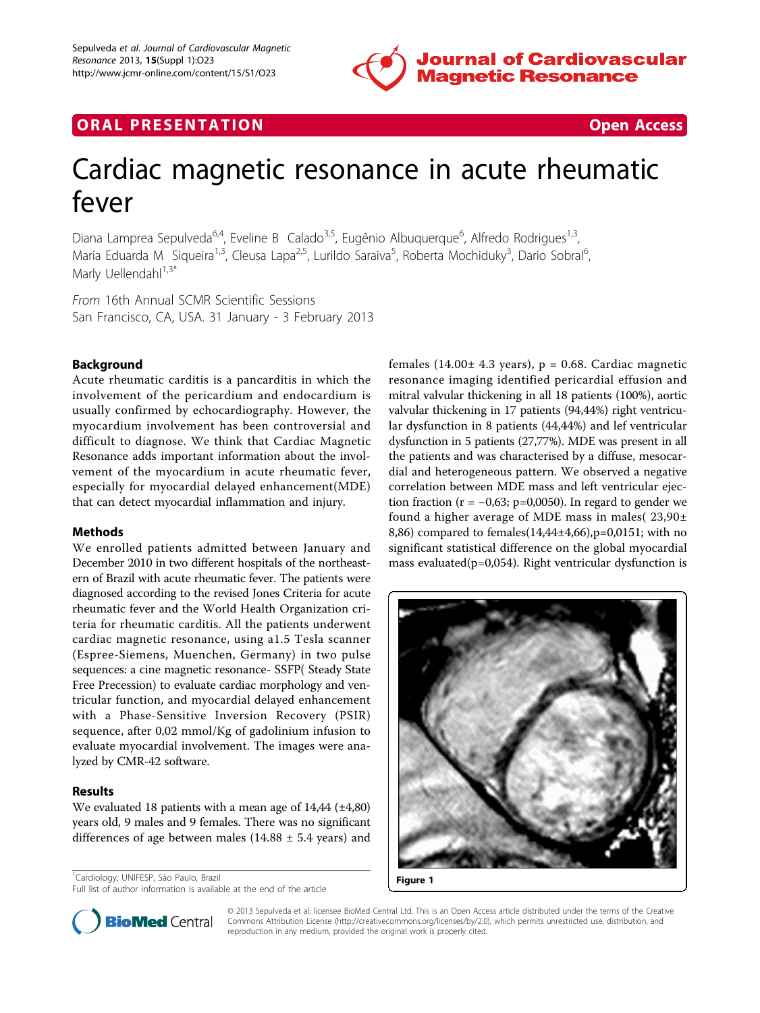

## **ORAL PRESENTATION CONSUMING ACCESS**



# Cardiac magnetic resonance in acute rheumatic fever

Diana Lamprea Sepulveda<sup>6,4</sup>, Eveline B Calado<sup>3,5</sup>, Eugênio Albuquerque<sup>6</sup>, Alfredo Rodrigues<sup>1,3</sup>, Maria Eduarda M Siqueira<sup>1,3</sup>, Cleusa Lapa<sup>2,5</sup>, Lurildo Saraiva<sup>5</sup>, Roberta Mochiduky<sup>3</sup>, Dario Sobral<sup>6</sup> .<br>, Marly Uellendahl $1,3^*$ 

From 16th Annual SCMR Scientific Sessions San Francisco, CA, USA. 31 January - 3 February 2013

## **Background**

Acute rheumatic carditis is a pancarditis in which the involvement of the pericardium and endocardium is usually confirmed by echocardiography. However, the myocardium involvement has been controversial and difficult to diagnose. We think that Cardiac Magnetic Resonance adds important information about the involvement of the myocardium in acute rheumatic fever, especially for myocardial delayed enhancement(MDE) that can detect myocardial inflammation and injury.

### Methods

We enrolled patients admitted between January and December 2010 in two different hospitals of the northeastern of Brazil with acute rheumatic fever. The patients were diagnosed according to the revised Jones Criteria for acute rheumatic fever and the World Health Organization criteria for rheumatic carditis. All the patients underwent cardiac magnetic resonance, using a1.5 Tesla scanner (Espree-Siemens, Muenchen, Germany) in two pulse sequences: a cine magnetic resonance- SSFP( Steady State Free Precession) to evaluate cardiac morphology and ventricular function, and myocardial delayed enhancement with a Phase-Sensitive Inversion Recovery (PSIR) sequence, after 0,02 mmol/Kg of gadolinium infusion to evaluate myocardial involvement. The images were analyzed by CMR-42 software.

## Results

We evaluated 18 patients with a mean age of  $14,44$  ( $\pm 4,80$ ) years old, 9 males and 9 females. There was no significant differences of age between males (14.88  $\pm$  5.4 years) and

<sup>1</sup> Cardiology, UNIFESP, São Paulo, Brazil

females (14.00 $\pm$  4.3 years), p = 0.68. Cardiac magnetic resonance imaging identified pericardial effusion and mitral valvular thickening in all 18 patients (100%), aortic valvular thickening in 17 patients (94,44%) right ventricular dysfunction in 8 patients (44,44%) and lef ventricular dysfunction in 5 patients (27,77%). MDE was present in all the patients and was characterised by a diffuse, mesocardial and heterogeneous pattern. We observed a negative correlation between MDE mass and left ventricular ejection fraction ( $r = -0.63$ ; p=0,0050). In regard to gender we found a higher average of MDE mass in males( 23,90± 8,86) compared to females(14,44±4,66),p=0,0151; with no significant statistical difference on the global myocardial mass evaluated( $p=0,054$ ). Right ventricular dysfunction is





© 2013 Sepulveda et al; licensee BioMed Central Ltd. This is an Open Access article distributed under the terms of the Creative Commons Attribution License [\(http://creativecommons.org/licenses/by/2.0](http://creativecommons.org/licenses/by/2.0)), which permits unrestricted use, distribution, and reproduction in any medium, provided the original work is properly cited.

<sup>&#</sup>x27;Cardiology, UNIFESP, São Paulo, Brazil<br>
Full list of author information is available at the end of the article